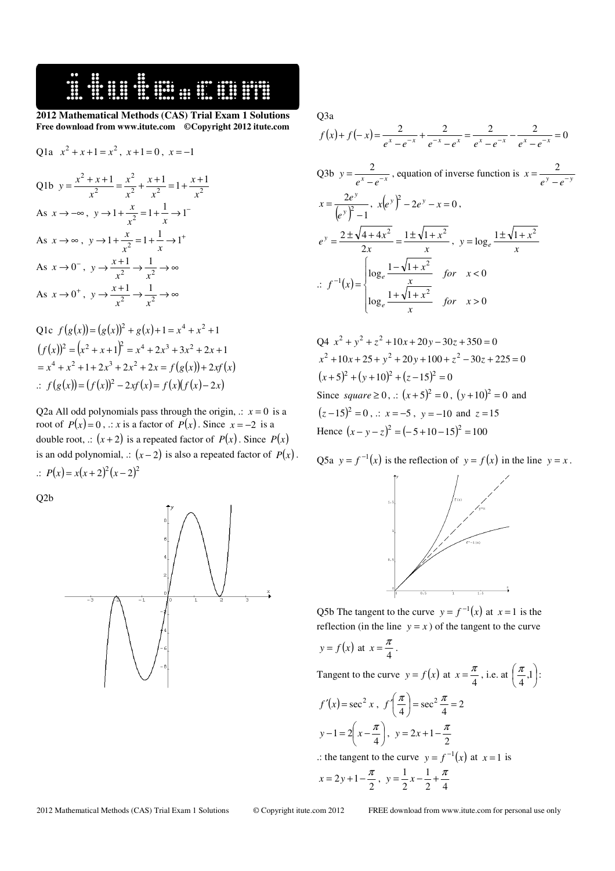

**2012 Mathematical Methods (CAS) Trial Exam 1 Solutions Free download from www.itute.com ©Copyright 2012 itute.com** 

Q1a 
$$
x^2 + x + 1 = x^2
$$
,  $x + 1 = 0$ ,  $x = -1$   
\nQ1b  $y = \frac{x^2 + x + 1}{x^2} = \frac{x^2}{x^2} + \frac{x + 1}{x^2} = 1 + \frac{x + 1}{x^2}$   
\nAs  $x \to -\infty$ ,  $y \to 1 + \frac{x}{x^2} = 1 + \frac{1}{x} \to 1^-$   
\nAs  $x \to \infty$ ,  $y \to 1 + \frac{x}{x^2} = 1 + \frac{1}{x} \to 1^+$   
\nAs  $x \to 0^-$ ,  $y \to \frac{x + 1}{x^2} \to \frac{1}{x^2} \to \infty$   
\nAs  $x \to 0^+$ ,  $y \to \frac{x + 1}{x^2} \to \frac{1}{x^2} \to \infty$   
\nQ1c  $f(g(x)) = (g(x))^2 + g(x) + 1 = x^4 + x^2 + 1$ 

 $(f(x))^{2} = (x^{2} + x + 1)^{2} = x^{4} + 2x^{3} + 3x^{2} + 2x + 1$  $x^4 + x^2 + 1 + 2x^3 + 2x^2 + 2x = f(g(x)) + 2xf(x)$ .:  $f(g(x)) = (f(x))^{2} - 2xf(x) = f(x)(f(x) - 2x)$ 

Q2a All odd polynomials pass through the origin,  $\therefore$   $x = 0$  is a root of  $P(x)=0$ , .: *x* is a factor of  $P(x)$ . Since  $x=-2$  is a double root, .:  $(x+2)$  is a repeated factor of  $P(x)$ . Since  $P(x)$ is an odd polynomial, .:  $(x-2)$  is also a repeated factor of  $P(x)$ .  $P(x) = x(x + 2)^2 (x - 2)^2$ 

Q2b



Q3a

$$
f(x) + f(-x) = \frac{2}{e^x - e^{-x}} + \frac{2}{e^{-x} - e^x} = \frac{2}{e^x - e^{-x}} - \frac{2}{e^x - e^{-x}} = 0
$$

Q3b 
$$
y = \frac{2}{e^x - e^{-x}}
$$
, equation of inverse function is  $x = \frac{2}{e^y - e^{-y}}$   
\n $x = \frac{2e^y}{(e^y)^2 - 1}$ ,  $x(e^y)^2 - 2e^y - x = 0$ ,  
\n $e^y = \frac{2 \pm \sqrt{4 + 4x^2}}{2x} = \frac{1 \pm \sqrt{1 + x^2}}{x}$ ,  $y = \log_e \frac{1 \pm \sqrt{1 + x^2}}{x}$   
\n $\therefore f^{-1}(x) = \begin{cases} \log_e \frac{1 - \sqrt{1 + x^2}}{x} & \text{for } x < 0 \\ \log_e \frac{1 + \sqrt{1 + x^2}}{x} & \text{for } x > 0 \end{cases}$ 

 $Q4x^2 + y^2 + z^2 + 10x + 20y - 30z + 350 = 0$  $x^2 + 10x + 25 + y^2 + 20y + 100 + z^2 - 30z + 225 = 0$  $(x+5)^2 + (y+10)^2 + (z-15)^2 = 0$ Since *square*  $\geq 0$ ,  $\therefore$   $(x+5)^2 = 0$ ,  $(y+10)^2 = 0$  and  $(z-15)^2 = 0$ , .:  $x = -5$ ,  $y = -10$  and  $z = 15$ Hence  $(x - y - z)^2 = (-5 + 10 - 15)^2 = 100$ 

Q5a  $y = f^{-1}(x)$  is the reflection of  $y = f(x)$  in the line  $y = x$ .



Q5b The tangent to the curve  $y = f^{-1}(x)$  at  $x = 1$  is the reflection (in the line  $y = x$ ) of the tangent to the curve

$$
y = f(x)
$$
 at  $x = \frac{\pi}{4}$ .

Tangent to the curve  $y = f(x)$  at  $x = \frac{\pi}{4}$  $x = \frac{\pi}{4}$ , i.e. at  $\left(\frac{\pi}{4}, 1\right)$  $\left(\frac{\pi}{\cdot},1\right)$ l  $\left(\frac{\pi}{4},1\right)$  $\frac{\pi}{\cdot}$ ,1|:  $f'(x) = \sec^2 x , f'\left(\frac{\pi}{4}\right) = \sec^2 \frac{\pi}{4} = 2$  $\vert = \sec^2 \frac{\pi}{l} =$ J  $\left(\frac{\pi}{\cdot}\right)$ l  $f\left(\frac{\pi}{4}\right) = \sec^2 \frac{\pi}{4}$ 

$$
y-1 = 2\left(x - \frac{\pi}{4}\right), \ y = 2x + 1 - \frac{\pi}{2}
$$
  
... the tangent to the curve  $y = f^{-1}(x)$  at  $x = 1$  is  

$$
x = 2y + 1 - \frac{\pi}{2}, \ y = \frac{1}{2}x - \frac{1}{2} + \frac{\pi}{4}
$$